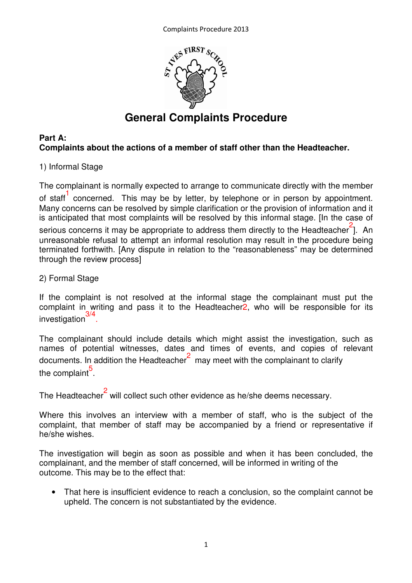

# **General Complaints Procedure**

# **Part A: Complaints about the actions of a member of staff other than the Headteacher.**

# 1) Informal Stage

The complainant is normally expected to arrange to communicate directly with the member of staff<sup>1</sup> concerned. This may be by letter, by telephone or in person by appointment. Many concerns can be resolved by simple clarification or the provision of information and it is anticipated that most complaints will be resolved by this informal stage. [In the case of serious concerns it may be appropriate to address them directly to the Headteacher<sup>2</sup>]. An unreasonable refusal to attempt an informal resolution may result in the procedure being terminated forthwith. [Any dispute in relation to the "reasonableness" may be determined through the review process]

# 2) Formal Stage

If the complaint is not resolved at the informal stage the complainant must put the complaint in writing and pass it to the Headteacher2, who will be responsible for its investigation<sup>3/4</sup>.

The complainant should include details which might assist the investigation, such as names of potential witnesses, dates and times of events, and copies of relevant documents. In addition the Headteacher $2\overline{2}$  may meet with the complainant to clarify the complaint<sup>5</sup>.

The Headteacher $^2$  will collect such other evidence as he/she deems necessary.

Where this involves an interview with a member of staff, who is the subject of the complaint, that member of staff may be accompanied by a friend or representative if he/she wishes.

The investigation will begin as soon as possible and when it has been concluded, the complainant, and the member of staff concerned, will be informed in writing of the outcome. This may be to the effect that:

• That here is insufficient evidence to reach a conclusion, so the complaint cannot be upheld. The concern is not substantiated by the evidence.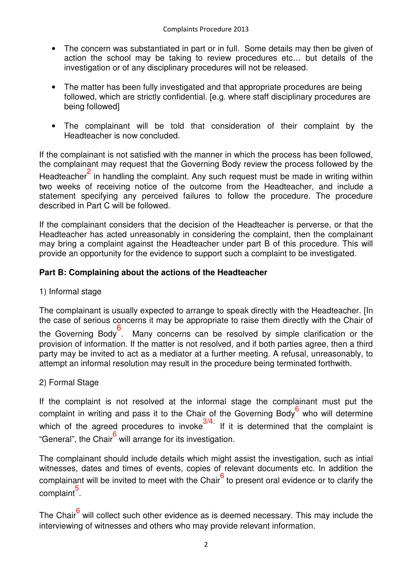- The concern was substantiated in part or in full. Some details may then be given of action the school may be taking to review procedures etc… but details of the investigation or of any disciplinary procedures will not be released.
- The matter has been fully investigated and that appropriate procedures are being followed, which are strictly confidential. [e.g. where staff disciplinary procedures are being followed]
- The complainant will be told that consideration of their complaint by the Headteacher is now concluded.

If the complainant is not satisfied with the manner in which the process has been followed, the complainant may request that the Governing Body review the process followed by the Headteacher<sup>2</sup> in handling the complaint. Any such request must be made in writing within two weeks of receiving notice of the outcome from the Headteacher, and include a statement specifying any perceived failures to follow the procedure. The procedure described in Part C will be followed.

If the complainant considers that the decision of the Headteacher is perverse, or that the Headteacher has acted unreasonably in considering the complaint, then the complainant may bring a complaint against the Headteacher under part B of this procedure. This will provide an opportunity for the evidence to support such a complaint to be investigated.

# **Part B: Complaining about the actions of the Headteacher**

1) Informal stage

The complainant is usually expected to arrange to speak directly with the Headteacher. [In the case of serious concerns it may be appropriate to raise them directly with the Chair of the Governing Body<sup>6</sup>. Many concerns can be resolved by simple clarification or the provision of information. If the matter is not resolved, and if both parties agree, then a third party may be invited to act as a mediator at a further meeting. A refusal, unreasonably, to attempt an informal resolution may result in the procedure being terminated forthwith.

2) Formal Stage

If the complaint is not resolved at the informal stage the complainant must put the complaint in writing and pass it to the Chair of the Governing Body<sup>6</sup> who will determine which of the agreed procedures to invoke $\frac{3}{4}$ . If it is determined that the complaint is "General", the Chair<sup>6</sup> will arrange for its investigation.

The complainant should include details which might assist the investigation, such as intial witnesses, dates and times of events, copies of relevant documents etc. In addition the complainant will be invited to meet with the Chair<sup>6</sup> to present oral evidence or to clarify the complaint<sup>5</sup>.

The Chair<sup>6</sup> will collect such other evidence as is deemed necessary. This may include the interviewing of witnesses and others who may provide relevant information.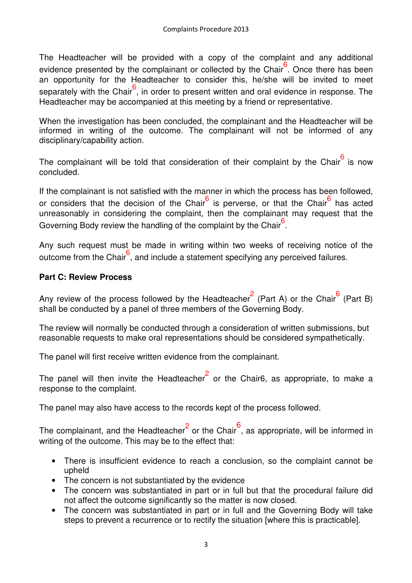The Headteacher will be provided with a copy of the complaint and any additional evidence presented by the complainant or collected by the Chair<sup>6</sup>. Once there has been an opportunity for the Headteacher to consider this, he/she will be invited to meet separately with the Chair<sup>6</sup>, in order to present written and oral evidence in response. The Headteacher may be accompanied at this meeting by a friend or representative.

When the investigation has been concluded, the complainant and the Headteacher will be informed in writing of the outcome. The complainant will not be informed of any disciplinary/capability action.

The complainant will be told that consideration of their complaint by the Chair<sup>6</sup> is now concluded.

If the complainant is not satisfied with the manner in which the process has been followed, or considers that the decision of the Chair<sup>6</sup> is perverse, or that the Chair<sup>6</sup> has acted unreasonably in considering the complaint, then the complainant may request that the Governing Body review the handling of the complaint by the Chair<sup>6</sup>.

Any such request must be made in writing within two weeks of receiving notice of the outcome from the Chair<sup>6</sup>, and include a statement specifying any perceived failures.

# **Part C: Review Process**

Any review of the process followed by the Headteacher<sup>2</sup> (Part A) or the Chair<sup>6</sup> (Part B) shall be conducted by a panel of three members of the Governing Body.

The review will normally be conducted through a consideration of written submissions, but reasonable requests to make oral representations should be considered sympathetically.

The panel will first receive written evidence from the complainant.

The panel will then invite the Headteacher<sup>2</sup> or the Chair6, as appropriate, to make a response to the complaint.

The panel may also have access to the records kept of the process followed.

The complainant, and the Headteacher  $2$  or the Chair , as appropriate, will be informed in writing of the outcome. This may be to the effect that:

- There is insufficient evidence to reach a conclusion, so the complaint cannot be upheld
- The concern is not substantiated by the evidence
- The concern was substantiated in part or in full but that the procedural failure did not affect the outcome significantly so the matter is now closed.
- The concern was substantiated in part or in full and the Governing Body will take steps to prevent a recurrence or to rectify the situation [where this is practicable].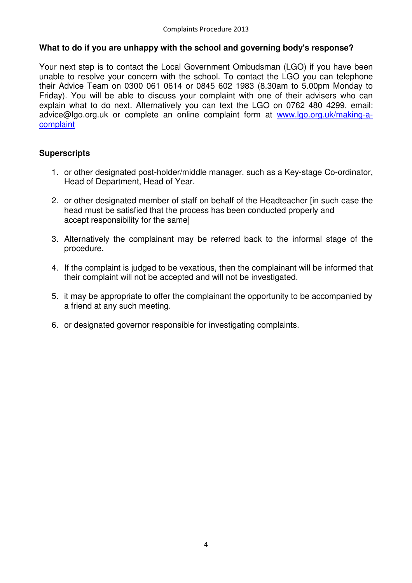#### **What to do if you are unhappy with the school and governing body's response?**

Your next step is to contact the Local Government Ombudsman (LGO) if you have been unable to resolve your concern with the school. To contact the LGO you can telephone their Advice Team on 0300 061 0614 or 0845 602 1983 (8.30am to 5.00pm Monday to Friday). You will be able to discuss your complaint with one of their advisers who can explain what to do next. Alternatively you can text the LGO on 0762 480 4299, email: advice@lgo.org.uk or complete an online complaint form at www.lgo.org.uk/making-acomplaint

#### **Superscripts**

- 1. or other designated post-holder/middle manager, such as a Key-stage Co-ordinator, Head of Department, Head of Year.
- 2. or other designated member of staff on behalf of the Headteacher [in such case the head must be satisfied that the process has been conducted properly and accept responsibility for the same]
- 3. Alternatively the complainant may be referred back to the informal stage of the procedure.
- 4. If the complaint is judged to be vexatious, then the complainant will be informed that their complaint will not be accepted and will not be investigated.
- 5. it may be appropriate to offer the complainant the opportunity to be accompanied by a friend at any such meeting.
- 6. or designated governor responsible for investigating complaints.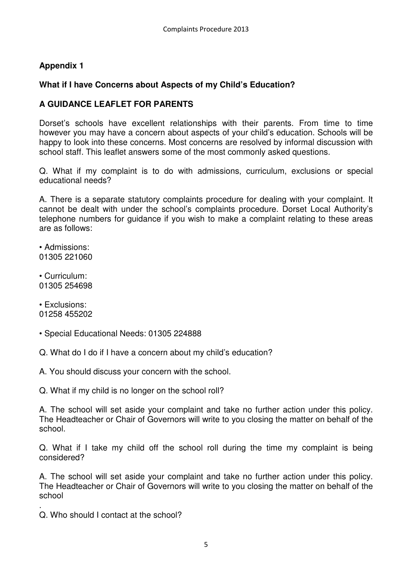# **Appendix 1**

# **What if I have Concerns about Aspects of my Child's Education?**

# **A GUIDANCE LEAFLET FOR PARENTS**

Dorset's schools have excellent relationships with their parents. From time to time however you may have a concern about aspects of your child's education. Schools will be happy to look into these concerns. Most concerns are resolved by informal discussion with school staff. This leaflet answers some of the most commonly asked questions.

Q. What if my complaint is to do with admissions, curriculum, exclusions or special educational needs?

A. There is a separate statutory complaints procedure for dealing with your complaint. It cannot be dealt with under the school's complaints procedure. Dorset Local Authority's telephone numbers for guidance if you wish to make a complaint relating to these areas are as follows:

• Admissions: 01305 221060

• Curriculum: 01305 254698

• Exclusions: 01258 455202

• Special Educational Needs: 01305 224888

Q. What do I do if I have a concern about my child's education?

A. You should discuss your concern with the school.

Q. What if my child is no longer on the school roll?

A. The school will set aside your complaint and take no further action under this policy. The Headteacher or Chair of Governors will write to you closing the matter on behalf of the school.

Q. What if I take my child off the school roll during the time my complaint is being considered?

A. The school will set aside your complaint and take no further action under this policy. The Headteacher or Chair of Governors will write to you closing the matter on behalf of the school

. Q. Who should I contact at the school?